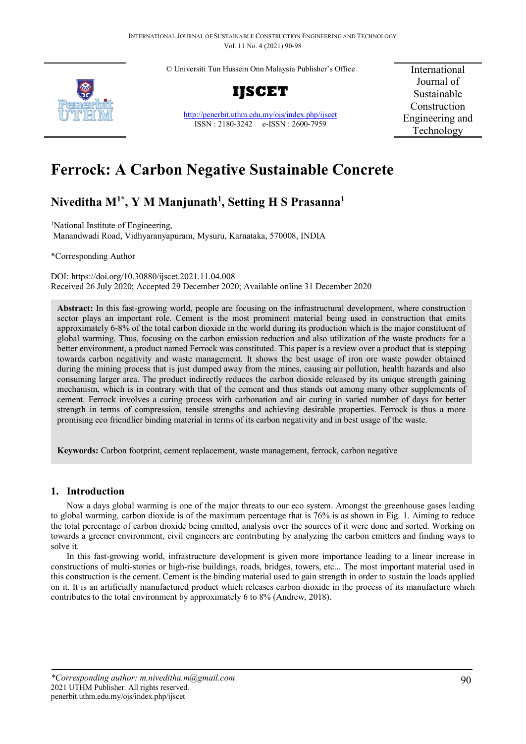© Universiti Tun Hussein Onn Malaysia Publisher's Office



**IJSCET**

<http://penerbit.uthm.edu.my/ojs/index.php/ijscet> ISSN : 2180-3242 e-ISSN : 2600-7959

International Journal of Sustainable Construction Engineering and Technology

# **Ferrock: A Carbon Negative Sustainable Concrete**

# **Niveditha M1\*, Y M Manjunath1 , Setting H S Prasanna1**

<sup>1</sup>National Institute of Engineering, Manandwadi Road, Vidhyaranyapuram, Mysuru, Karnataka, 570008, INDIA

\*Corresponding Author

DOI: https://doi.org/10.30880/ijscet.2021.11.04.008 Received 26 July 2020; Accepted 29 December 2020; Available online 31 December 2020

**Abstract:** In this fast-growing world, people are focusing on the infrastructural development, where construction sector plays an important role. Cement is the most prominent material being used in construction that emits approximately 6-8% of the total carbon dioxide in the world during its production which is the major constituent of global warming. Thus, focusing on the carbon emission reduction and also utilization of the waste products for a better environment, a product named Ferrock was constituted. This paper is a review over a product that is stepping towards carbon negativity and waste management. It shows the best usage of iron ore waste powder obtained during the mining process that is just dumped away from the mines, causing air pollution, health hazards and also consuming larger area. The product indirectly reduces the carbon dioxide released by its unique strength gaining mechanism, which is in contrary with that of the cement and thus stands out among many other supplements of cement. Ferrock involves a curing process with carbonation and air curing in varied number of days for better strength in terms of compression, tensile strengths and achieving desirable properties. Ferrock is thus a more promising eco friendlier binding material in terms of its carbon negativity and in best usage of the waste.

**Keywords:** Carbon footprint, cement replacement, waste management, ferrock, carbon negative

# **1. Introduction**

Now a days global warming is one of the major threats to our eco system. Amongst the greenhouse gases leading to global warming, carbon dioxide is of the maximum percentage that is 76% is as shown in Fig. 1. Aiming to reduce the total percentage of carbon dioxide being emitted, analysis over the sources of it were done and sorted. Working on towards a greener environment, civil engineers are contributing by analyzing the carbon emitters and finding ways to solve it.

In this fast-growing world, infrastructure development is given more importance leading to a linear increase in constructions of multi-stories or high-rise buildings, roads, bridges, towers, etc... The most important material used in this construction is the cement. Cement is the binding material used to gain strength in order to sustain the loads applied on it. It is an artificially manufactured product which releases carbon dioxide in the process of its manufacture which contributes to the total environment by approximately 6 to 8% (Andrew, 2018).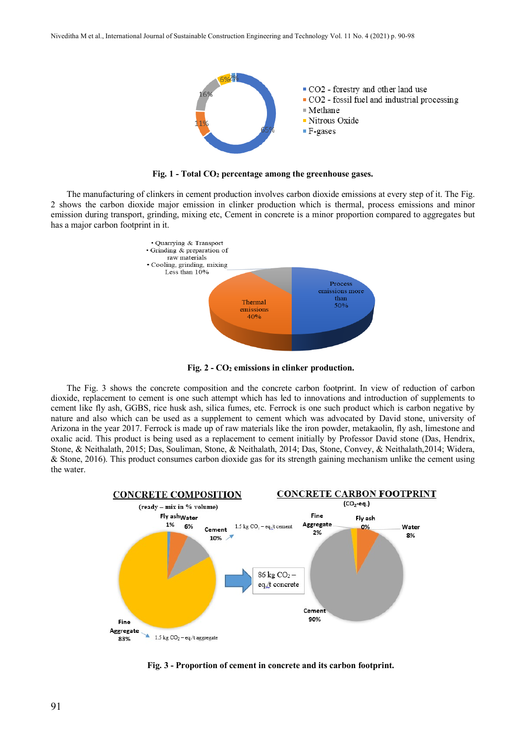

**Fig. 1 - Total CO2 percentage among the greenhouse gases.**

The manufacturing of clinkers in cement production involves carbon dioxide emissions at every step of it. The Fig. 2 shows the carbon dioxide major emission in clinker production which is thermal, process emissions and minor emission during transport, grinding, mixing etc, Cement in concrete is a minor proportion compared to aggregates but has a major carbon footprint in it.



**Fig. 2 - CO2 emissions in clinker production.**

The Fig. 3 shows the concrete composition and the concrete carbon footprint. In view of reduction of carbon dioxide, replacement to cement is one such attempt which has led to innovations and introduction of supplements to cement like fly ash, GGBS, rice husk ash, silica fumes, etc. Ferrock is one such product which is carbon negative by nature and also which can be used as a supplement to cement which was advocated by David stone, university of Arizona in the year 2017. Ferrock is made up of raw materials like the iron powder, metakaolin, fly ash, limestone and oxalic acid. This product is being used as a replacement to cement initially by Professor David stone (Das, Hendrix, Stone, & Neithalath, 2015; Das, Souliman, Stone, & Neithalath, 2014; Das, Stone, Convey, & Neithalath,2014; Widera, & Stone, 2016). This product consumes carbon dioxide gas for its strength gaining mechanism unlike the cement using the water.



**Fig. 3 - Proportion of cement in concrete and its carbon footprint.**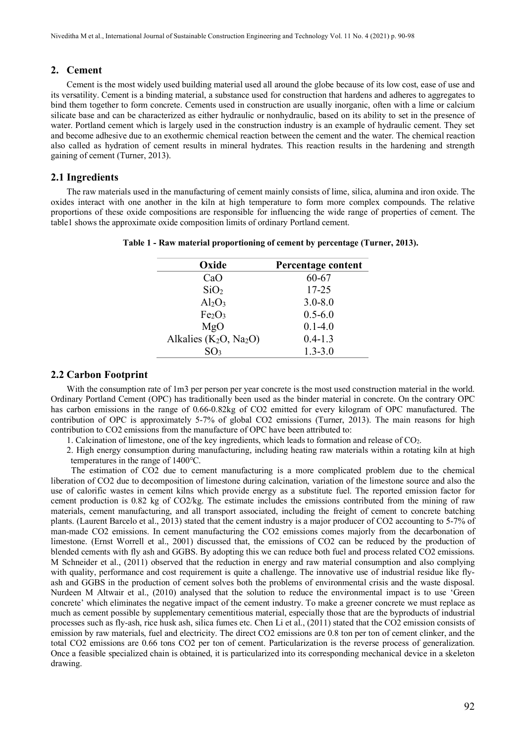# **2. Cement**

Cement is the most widely used building material used all around the globe because of its low cost, ease of use and its versatility. Cement is a binding material, a substance used for construction that hardens and adheres to aggregates to bind them together to form concrete. Cements used in construction are usually inorganic, often with a lime or calcium silicate base and can be characterized as either hydraulic or nonhydraulic, based on its ability to set in the presence of water. Portland cement which is largely used in the construction industry is an example of hydraulic cement. They set and become adhesive due to an exothermic chemical reaction between the cement and the water. The chemical reaction also called as hydration of cement results in mineral hydrates. This reaction results in the hardening and strength gaining of cement (Turner, 2013).

#### **2.1 Ingredients**

The raw materials used in the manufacturing of cement mainly consists of lime, silica, alumina and iron oxide. The oxides interact with one another in the kiln at high temperature to form more complex compounds. The relative proportions of these oxide compositions are responsible for influencing the wide range of properties of cement. The table1 shows the approximate oxide composition limits of ordinary Portland cement.

| Oxide                          | Percentage content |  |  |
|--------------------------------|--------------------|--|--|
| CaO                            | 60-67              |  |  |
| SiO <sub>2</sub>               | $17 - 25$          |  |  |
| $Al_2O_3$                      | $3.0 - 8.0$        |  |  |
| Fe <sub>2</sub> O <sub>3</sub> | $0.5 - 6.0$        |  |  |
| MgO                            | $0.1 - 4.0$        |  |  |
| Alkalies $(K_2O, Na_2O)$       | $0.4 - 1.3$        |  |  |
| SO <sub>3</sub>                | $1.3 - 3.0$        |  |  |

**Table 1 - Raw material proportioning of cement by percentage (Turner, 2013).**

# **2.2 Carbon Footprint**

With the consumption rate of 1m3 per person per year concrete is the most used construction material in the world. Ordinary Portland Cement (OPC) has traditionally been used as the binder material in concrete. On the contrary OPC has carbon emissions in the range of 0.66-0.82kg of CO2 emitted for every kilogram of OPC manufactured. The contribution of OPC is approximately 5-7% of global CO2 emissions (Turner, 2013). The main reasons for high contribution to CO2 emissions from the manufacture of OPC have been attributed to:

- 1. Calcination of limestone, one of the key ingredients, which leads to formation and release of CO2.
- 2. High energy consumption during manufacturing, including heating raw materials within a rotating kiln at high temperatures in the range of 1400℃.

 The estimation of CO2 due to cement manufacturing is a more complicated problem due to the chemical liberation of CO2 due to decomposition of limestone during calcination, variation of the limestone source and also the use of calorific wastes in cement kilns which provide energy as a substitute fuel. The reported emission factor for cement production is 0.82 kg of CO2/kg. The estimate includes the emissions contributed from the mining of raw materials, cement manufacturing, and all transport associated, including the freight of cement to concrete batching plants. (Laurent Barcelo et al., 2013) stated that the cement industry is a major producer of CO2 accounting to 5-7% of man-made CO2 emissions. In cement manufacturing the CO2 emissions comes majorly from the decarbonation of limestone. (Ernst Worrell et al., 2001) discussed that, the emissions of CO2 can be reduced by the production of blended cements with fly ash and GGBS. By adopting this we can reduce both fuel and process related CO2 emissions. M Schneider et al., (2011) observed that the reduction in energy and raw material consumption and also complying with quality, performance and cost requirement is quite a challenge. The innovative use of industrial residue like flyash and GGBS in the production of cement solves both the problems of environmental crisis and the waste disposal. Nurdeen M Altwair et al., (2010) analysed that the solution to reduce the environmental impact is to use 'Green concrete' which eliminates the negative impact of the cement industry. To make a greener concrete we must replace as much as cement possible by supplementary cementitious material, especially those that are the byproducts of industrial processes such as fly-ash, rice husk ash, silica fumes etc. Chen Li et al., (2011) stated that the CO2 emission consists of emission by raw materials, fuel and electricity. The direct CO2 emissions are 0.8 ton per ton of cement clinker, and the total CO2 emissions are 0.66 tons CO2 per ton of cement. Particularization is the reverse process of generalization. Once a feasible specialized chain is obtained, it is particularized into its corresponding mechanical device in a skeleton drawing.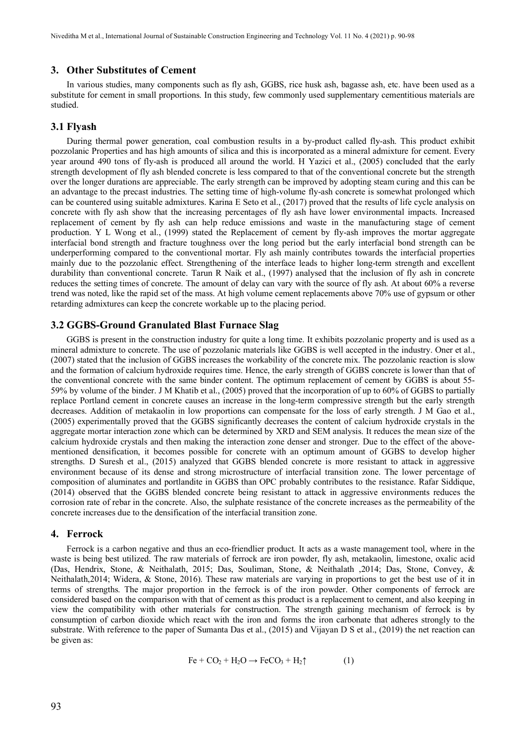#### **3. Other Substitutes of Cement**

In various studies, many components such as fly ash, GGBS, rice husk ash, bagasse ash, etc. have been used as a substitute for cement in small proportions. In this study, few commonly used supplementary cementitious materials are studied.

#### **3.1 Flyash**

During thermal power generation, coal combustion results in a by-product called fly-ash. This product exhibit pozzolanic Properties and has high amounts of silica and this is incorporated as a mineral admixture for cement. Every year around 490 tons of fly-ash is produced all around the world. H Yazici et al., (2005) concluded that the early strength development of fly ash blended concrete is less compared to that of the conventional concrete but the strength over the longer durations are appreciable. The early strength can be improved by adopting steam curing and this can be an advantage to the precast industries. The setting time of high-volume fly-ash concrete is somewhat prolonged which can be countered using suitable admixtures. Karina E Seto et al., (2017) proved that the results of life cycle analysis on concrete with fly ash show that the increasing percentages of fly ash have lower environmental impacts. Increased replacement of cement by fly ash can help reduce emissions and waste in the manufacturing stage of cement production. Y L Wong et al., (1999) stated the Replacement of cement by fly-ash improves the mortar aggregate interfacial bond strength and fracture toughness over the long period but the early interfacial bond strength can be underperforming compared to the conventional mortar. Fly ash mainly contributes towards the interfacial properties mainly due to the pozzolanic effect. Strengthening of the interface leads to higher long-term strength and excellent durability than conventional concrete. Tarun R Naik et al., (1997) analysed that the inclusion of fly ash in concrete reduces the setting times of concrete. The amount of delay can vary with the source of fly ash. At about 60% a reverse trend was noted, like the rapid set of the mass. At high volume cement replacements above 70% use of gypsum or other retarding admixtures can keep the concrete workable up to the placing period.

# **3.2 GGBS-Ground Granulated Blast Furnace Slag**

 GGBS is present in the construction industry for quite a long time. It exhibits pozzolanic property and is used as a mineral admixture to concrete. The use of pozzolanic materials like GGBS is well accepted in the industry. Oner et al., (2007) stated that the inclusion of GGBS increases the workability of the concrete mix. The pozzolanic reaction is slow and the formation of calcium hydroxide requires time. Hence, the early strength of GGBS concrete is lower than that of the conventional concrete with the same binder content. The optimum replacement of cement by GGBS is about 55- 59% by volume of the binder. J M Khatib et al., (2005) proved that the incorporation of up to 60% of GGBS to partially replace Portland cement in concrete causes an increase in the long-term compressive strength but the early strength decreases. Addition of metakaolin in low proportions can compensate for the loss of early strength. J M Gao et al., (2005) experimentally proved that the GGBS significantly decreases the content of calcium hydroxide crystals in the aggregate mortar interaction zone which can be determined by XRD and SEM analysis. It reduces the mean size of the calcium hydroxide crystals and then making the interaction zone denser and stronger. Due to the effect of the abovementioned densification, it becomes possible for concrete with an optimum amount of GGBS to develop higher strengths. D Suresh et al., (2015) analyzed that GGBS blended concrete is more resistant to attack in aggressive environment because of its dense and strong microstructure of interfacial transition zone. The lower percentage of composition of aluminates and portlandite in GGBS than OPC probably contributes to the resistance. Rafar Siddique, (2014) observed that the GGBS blended concrete being resistant to attack in aggressive environments reduces the corrosion rate of rebar in the concrete. Also, the sulphate resistance of the concrete increases as the permeability of the concrete increases due to the densification of the interfacial transition zone.

#### **4. Ferrock**

Ferrock is a carbon negative and thus an eco-friendlier product. It acts as a waste management tool, where in the waste is being best utilized. The raw materials of ferrock are iron powder, fly ash, metakaolin, limestone, oxalic acid (Das, Hendrix, Stone, & Neithalath, 2015; Das, Souliman, Stone, & Neithalath ,2014; Das, Stone, Convey, & Neithalath,2014; Widera, & Stone, 2016). These raw materials are varying in proportions to get the best use of it in terms of strengths. The major proportion in the ferrock is of the iron powder. Other components of ferrock are considered based on the comparison with that of cement as this product is a replacement to cement, and also keeping in view the compatibility with other materials for construction. The strength gaining mechanism of ferrock is by consumption of carbon dioxide which react with the iron and forms the iron carbonate that adheres strongly to the substrate. With reference to the paper of Sumanta Das et al., (2015) and Vijayan D S et al., (2019) the net reaction can be given as:

$$
\text{Fe} + \text{CO}_2 + \text{H}_2\text{O} \rightarrow \text{FeCO}_3 + \text{H}_2\uparrow \tag{1}
$$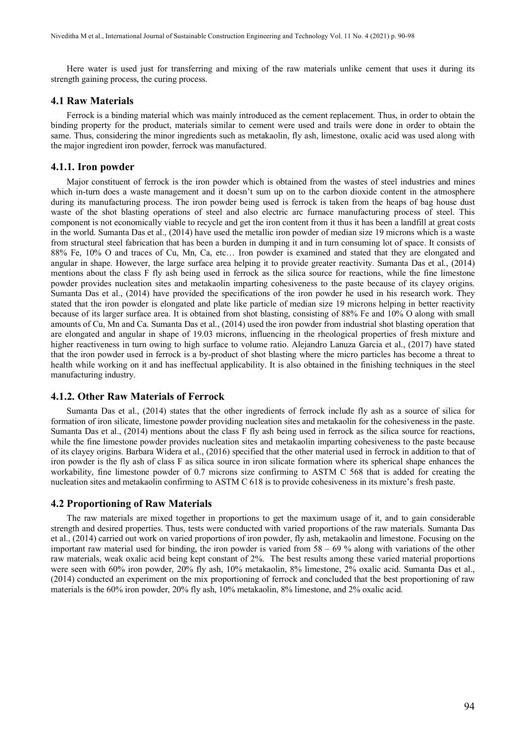Here water is used just for transferring and mixing of the raw materials unlike cement that uses it during its strength gaining process, the curing process.

#### **4.1 Raw Materials**

Ferrock is a binding material which was mainly introduced as the cement replacement. Thus, in order to obtain the binding property for the product, materials similar to cement were used and trails were done in order to obtain the same. Thus, considering the minor ingredients such as metakaolin, fly ash, limestone, oxalic acid was used along with the major ingredient iron powder, ferrock was manufactured.

#### **4.1.1. Iron powder**

Major constituent of ferrock is the iron powder which is obtained from the wastes of steel industries and mines which in-turn does a waste management and it doesn't sum up on to the carbon dioxide content in the atmosphere during its manufacturing process. The iron powder being used is ferrock is taken from the heaps of bag house dust waste of the shot blasting operations of steel and also electric arc furnace manufacturing process of steel. This component is not economically viable to recycle and get the iron content from it thus it has been a landfill at great costs in the world. Sumanta Das et al., (2014) have used the metallic iron powder of median size 19 microns which is a waste from structural steel fabrication that has been a burden in dumping it and in turn consuming lot of space. It consists of 88% Fe, 10% O and traces of Cu, Mn, Ca, etc… Iron powder is examined and stated that they are elongated and angular in shape. However, the large surface area helping it to provide greater reactivity. Sumanta Das et al., (2014) mentions about the class F fly ash being used in ferrock as the silica source for reactions, while the fine limestone powder provides nucleation sites and metakaolin imparting cohesiveness to the paste because of its clayey origins. Sumanta Das et al., (2014) have provided the specifications of the iron powder he used in his research work. They stated that the iron powder is elongated and plate like particle of median size 19 microns helping in better reactivity because of its larger surface area. It is obtained from shot blasting, consisting of 88% Fe and 10% O along with small amounts of Cu, Mn and Ca. Sumanta Das et al., (2014) used the iron powder from industrial shot blasting operation that are elongated and angular in shape of 19.03 microns, influencing in the rheological properties of fresh mixture and higher reactiveness in turn owing to high surface to volume ratio. Alejandro Lanuza Garcia et al., (2017) have stated that the iron powder used in ferrock is a by-product of shot blasting where the micro particles has become a threat to health while working on it and has ineffectual applicability. It is also obtained in the finishing techniques in the steel manufacturing industry.

#### **4.1.2. Other Raw Materials of Ferrock**

Sumanta Das et al., (2014) states that the other ingredients of ferrock include fly ash as a source of silica for formation of iron silicate, limestone powder providing nucleation sites and metakaolin for the cohesiveness in the paste. Sumanta Das et al., (2014) mentions about the class F fly ash being used in ferrock as the silica source for reactions, while the fine limestone powder provides nucleation sites and metakaolin imparting cohesiveness to the paste because of its clayey origins. Barbara Widera et al., (2016) specified that the other material used in ferrock in addition to that of iron powder is the fly ash of class F as silica source in iron silicate formation where its spherical shape enhances the workability, fine limestone powder of 0.7 microns size confirming to ASTM C 568 that is added for creating the nucleation sites and metakaolin confirming to ASTM C 618 is to provide cohesiveness in its mixture's fresh paste.

#### **4.2 Proportioning of Raw Materials**

The raw materials are mixed together in proportions to get the maximum usage of it, and to gain considerable strength and desired properties. Thus, tests were conducted with varied proportions of the raw materials. Sumanta Das et al., (2014) carried out work on varied proportions of iron powder, fly ash, metakaolin and limestone. Focusing on the important raw material used for binding, the iron powder is varied from 58 – 69 % along with variations of the other raw materials, weak oxalic acid being kept constant of 2%. The best results among these varied material proportions were seen with 60% iron powder, 20% fly ash, 10% metakaolin, 8% limestone, 2% oxalic acid. Sumanta Das et al., (2014) conducted an experiment on the mix proportioning of ferrock and concluded that the best proportioning of raw materials is the 60% iron powder, 20% fly ash, 10% metakaolin, 8% limestone, and 2% oxalic acid.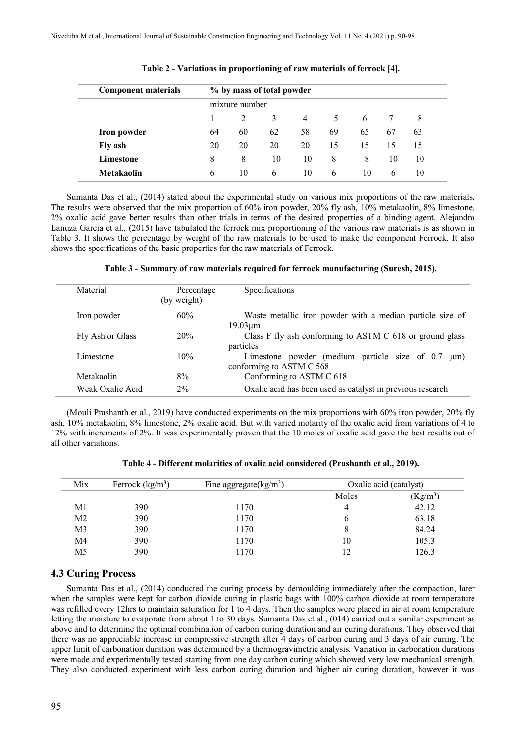| <b>Component materials</b> | % by mass of total powder |    |               |                |          |    |    |    |
|----------------------------|---------------------------|----|---------------|----------------|----------|----|----|----|
|                            | mixture number            |    |               |                |          |    |    |    |
|                            |                           | 2  | 3             | $\overline{4}$ |          | 6  |    | 8  |
| Iron powder                | 64                        | 60 | 62            | 58             | 69       | 65 | 67 | 63 |
| Fly ash                    | 20                        | 20 | 20            | 20             | 15       | 15 | 15 | 15 |
| Limestone                  | 8                         | 8  | 10            | 10             | 8        | 8  | 10 | 10 |
| <b>Metakaolin</b>          | 6                         | 10 | $\mathfrak b$ | 10             | $\sigma$ | 10 | 6  | 10 |

**Table 2 - Variations in proportioning of raw materials of ferrock [4].**

Sumanta Das et al., (2014) stated about the experimental study on various mix proportions of the raw materials. The results were observed that the mix proportion of 60% iron powder, 20% fly ash, 10% metakaolin, 8% limestone, 2% oxalic acid gave better results than other trials in terms of the desired properties of a binding agent. Alejandro Lanuza Garcia et al., (2015) have tabulated the ferrock mix proportioning of the various raw materials is as shown in Table 3. It shows the percentage by weight of the raw materials to be used to make the component Ferrock. It also shows the specifications of the basic properties for the raw materials of Ferrock.

|  |  |  | Table 3 - Summary of raw materials required for ferrock manufacturing (Suresh, 2015). |  |
|--|--|--|---------------------------------------------------------------------------------------|--|
|--|--|--|---------------------------------------------------------------------------------------|--|

| Material         | Percentage<br>(by weight) | Specifications                                                                        |
|------------------|---------------------------|---------------------------------------------------------------------------------------|
| Iron powder      | 60%                       | Waste metallic iron powder with a median particle size of<br>$19.03 \mu m$            |
| Fly Ash or Glass | 20%                       | Class F fly ash conforming to ASTM C 618 or ground glass<br>particles                 |
| Limestone        | 10%                       | Limestone powder (medium particle size of 0.7<br>$\mu$ m)<br>conforming to ASTM C 568 |
| Metakaolin       | 8%                        | Conforming to ASTM C 618                                                              |
| Weak Oxalic Acid | $2\%$                     | Oxalic acid has been used as catalyst in previous research                            |

(Mouli Prashanth et al., 2019) have conducted experiments on the mix proportions with 60% iron powder, 20% fly ash, 10% metakaolin, 8% limestone, 2% oxalic acid. But with varied molarity of the oxalic acid from variations of 4 to 12% with increments of 2%. It was experimentally proven that the 10 moles of oxalic acid gave the best results out of all other variations.

| Mix            | Ferrock $(kg/m^3)$ | Fine aggregate( $\text{kg/m}^3$ ) | Oxalic acid (catalyst) |            |
|----------------|--------------------|-----------------------------------|------------------------|------------|
|                |                    |                                   | Moles                  | $(Kg/m^3)$ |
| M1             | 390                | 1170                              | 4                      | 42.12      |
| M <sub>2</sub> | 390                | 1170                              | O                      | 63.18      |
| M3             | 390                | 1170                              | 8                      | 84.24      |
| M4             | 390                | 1170                              | 10                     | 105.3      |
| M5             | 390                | 1170                              | 12                     | 126.3      |

**Table 4 - Different molarities of oxalic acid considered (Prashanth et al., 2019).**

# **4.3 Curing Process**

Sumanta Das et al., (2014) conducted the curing process by demoulding immediately after the compaction, later when the samples were kept for carbon dioxide curing in plastic bags with 100% carbon dioxide at room temperature was refilled every 12hrs to maintain saturation for 1 to 4 days. Then the samples were placed in air at room temperature letting the moisture to evaporate from about 1 to 30 days. Sumanta Das et al., (014) carried out a similar experiment as above and to determine the optimal combination of carbon curing duration and air curing durations. They observed that there was no appreciable increase in compressive strength after 4 days of carbon curing and 3 days of air curing. The upper limit of carbonation duration was determined by a thermogravimetric analysis. Variation in carbonation durations were made and experimentally tested starting from one day carbon curing which showed very low mechanical strength. They also conducted experiment with less carbon curing duration and higher air curing duration, however it was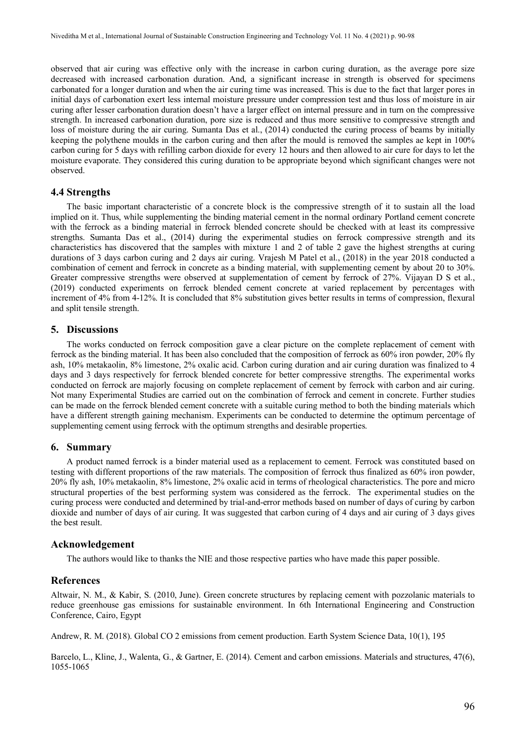observed that air curing was effective only with the increase in carbon curing duration, as the average pore size decreased with increased carbonation duration. And, a significant increase in strength is observed for specimens carbonated for a longer duration and when the air curing time was increased. This is due to the fact that larger pores in initial days of carbonation exert less internal moisture pressure under compression test and thus loss of moisture in air curing after lesser carbonation duration doesn't have a larger effect on internal pressure and in turn on the compressive strength. In increased carbonation duration, pore size is reduced and thus more sensitive to compressive strength and loss of moisture during the air curing. Sumanta Das et al., (2014) conducted the curing process of beams by initially keeping the polythene moulds in the carbon curing and then after the mould is removed the samples ae kept in 100% carbon curing for 5 days with refilling carbon dioxide for every 12 hours and then allowed to air cure for days to let the moisture evaporate. They considered this curing duration to be appropriate beyond which significant changes were not observed.

# **4.4 Strengths**

The basic important characteristic of a concrete block is the compressive strength of it to sustain all the load implied on it. Thus, while supplementing the binding material cement in the normal ordinary Portland cement concrete with the ferrock as a binding material in ferrock blended concrete should be checked with at least its compressive strengths. Sumanta Das et al., (2014) during the experimental studies on ferrock compressive strength and its characteristics has discovered that the samples with mixture 1 and 2 of table 2 gave the highest strengths at curing durations of 3 days carbon curing and 2 days air curing. Vrajesh M Patel et al., (2018) in the year 2018 conducted a combination of cement and ferrock in concrete as a binding material, with supplementing cement by about 20 to 30%. Greater compressive strengths were observed at supplementation of cement by ferrock of 27%. Vijayan D S et al., (2019) conducted experiments on ferrock blended cement concrete at varied replacement by percentages with increment of 4% from 4-12%. It is concluded that 8% substitution gives better results in terms of compression, flexural and split tensile strength.

# **5. Discussions**

The works conducted on ferrock composition gave a clear picture on the complete replacement of cement with ferrock as the binding material. It has been also concluded that the composition of ferrock as 60% iron powder, 20% fly ash, 10% metakaolin, 8% limestone, 2% oxalic acid. Carbon curing duration and air curing duration was finalized to 4 days and 3 days respectively for ferrock blended concrete for better compressive strengths. The experimental works conducted on ferrock are majorly focusing on complete replacement of cement by ferrock with carbon and air curing. Not many Experimental Studies are carried out on the combination of ferrock and cement in concrete. Further studies can be made on the ferrock blended cement concrete with a suitable curing method to both the binding materials which have a different strength gaining mechanism. Experiments can be conducted to determine the optimum percentage of supplementing cement using ferrock with the optimum strengths and desirable properties.

# **6. Summary**

A product named ferrock is a binder material used as a replacement to cement. Ferrock was constituted based on testing with different proportions of the raw materials. The composition of ferrock thus finalized as 60% iron powder, 20% fly ash, 10% metakaolin, 8% limestone, 2% oxalic acid in terms of rheological characteristics. The pore and micro structural properties of the best performing system was considered as the ferrock. The experimental studies on the curing process were conducted and determined by trial-and-error methods based on number of days of curing by carbon dioxide and number of days of air curing. It was suggested that carbon curing of 4 days and air curing of 3 days gives the best result.

# **Acknowledgement**

The authors would like to thanks the NIE and those respective parties who have made this paper possible.

# **References**

Altwair, N. M., & Kabir, S. (2010, June). Green concrete structures by replacing cement with pozzolanic materials to reduce greenhouse gas emissions for sustainable environment. In 6th International Engineering and Construction Conference, Cairo, Egypt

Andrew, R. M. (2018). Global CO 2 emissions from cement production. Earth System Science Data, 10(1), 195

Barcelo, L., Kline, J., Walenta, G., & Gartner, E. (2014). Cement and carbon emissions. Materials and structures, 47(6), 1055-1065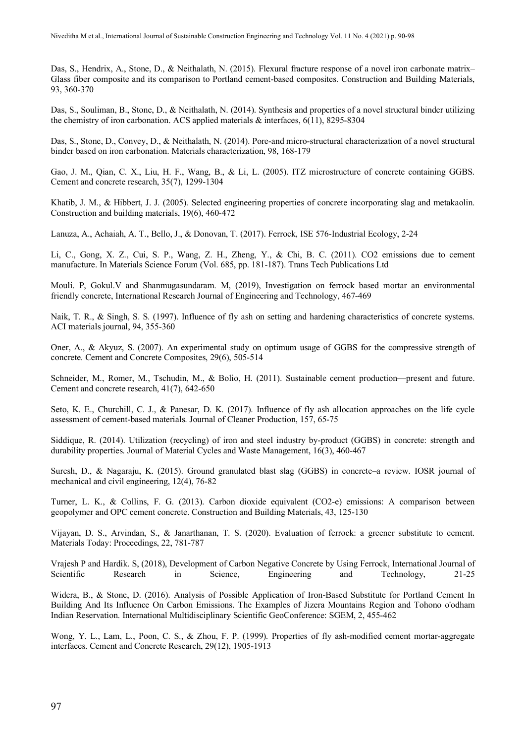Das, S., Hendrix, A., Stone, D., & Neithalath, N. (2015). Flexural fracture response of a novel iron carbonate matrix– Glass fiber composite and its comparison to Portland cement-based composites. Construction and Building Materials, 93, 360-370

Das, S., Souliman, B., Stone, D., & Neithalath, N. (2014). Synthesis and properties of a novel structural binder utilizing the chemistry of iron carbonation. ACS applied materials & interfaces, 6(11), 8295-8304

Das, S., Stone, D., Convey, D., & Neithalath, N. (2014). Pore-and micro-structural characterization of a novel structural binder based on iron carbonation. Materials characterization, 98, 168-179

Gao, J. M., Qian, C. X., Liu, H. F., Wang, B., & Li, L. (2005). ITZ microstructure of concrete containing GGBS. Cement and concrete research, 35(7), 1299-1304

Khatib, J. M., & Hibbert, J. J. (2005). Selected engineering properties of concrete incorporating slag and metakaolin. Construction and building materials, 19(6), 460-472

Lanuza, A., Achaiah, A. T., Bello, J., & Donovan, T. (2017). Ferrock, ISE 576-Industrial Ecology, 2-24

Li, C., Gong, X. Z., Cui, S. P., Wang, Z. H., Zheng, Y., & Chi, B. C. (2011). CO2 emissions due to cement manufacture. In Materials Science Forum (Vol. 685, pp. 181-187). Trans Tech Publications Ltd

Mouli. P, Gokul.V and Shanmugasundaram. M, (2019), Investigation on ferrock based mortar an environmental friendly concrete, International Research Journal of Engineering and Technology, 467-469

Naik, T. R., & Singh, S. S. (1997). Influence of fly ash on setting and hardening characteristics of concrete systems. ACI materials journal, 94, 355-360

Oner, A., & Akyuz, S. (2007). An experimental study on optimum usage of GGBS for the compressive strength of concrete. Cement and Concrete Composites, 29(6), 505-514

Schneider, M., Romer, M., Tschudin, M., & Bolio, H. (2011). Sustainable cement production—present and future. Cement and concrete research, 41(7), 642-650

Seto, K. E., Churchill, C. J., & Panesar, D. K. (2017). Influence of fly ash allocation approaches on the life cycle assessment of cement-based materials. Journal of Cleaner Production, 157, 65-75

Siddique, R. (2014). Utilization (recycling) of iron and steel industry by-product (GGBS) in concrete: strength and durability properties. Journal of Material Cycles and Waste Management, 16(3), 460-467

Suresh, D., & Nagaraju, K. (2015). Ground granulated blast slag (GGBS) in concrete–a review. IOSR journal of mechanical and civil engineering, 12(4), 76-82

Turner, L. K., & Collins, F. G. (2013). Carbon dioxide equivalent (CO2-e) emissions: A comparison between geopolymer and OPC cement concrete. Construction and Building Materials, 43, 125-130

Vijayan, D. S., Arvindan, S., & Janarthanan, T. S. (2020). Evaluation of ferrock: a greener substitute to cement. Materials Today: Proceedings, 22, 781-787

Vrajesh P and Hardik. S, (2018), Development of Carbon Negative Concrete by Using Ferrock, International Journal of Scientific Research in Science, Engineering and Technology, 21-25

Widera, B., & Stone, D. (2016). Analysis of Possible Application of Iron-Based Substitute for Portland Cement In Building And Its Influence On Carbon Emissions. The Examples of Jizera Mountains Region and Tohono o'odham Indian Reservation. International Multidisciplinary Scientific GeoConference: SGEM, 2, 455-462

Wong, Y. L., Lam, L., Poon, C. S., & Zhou, F. P. (1999). Properties of fly ash-modified cement mortar-aggregate interfaces. Cement and Concrete Research, 29(12), 1905-1913